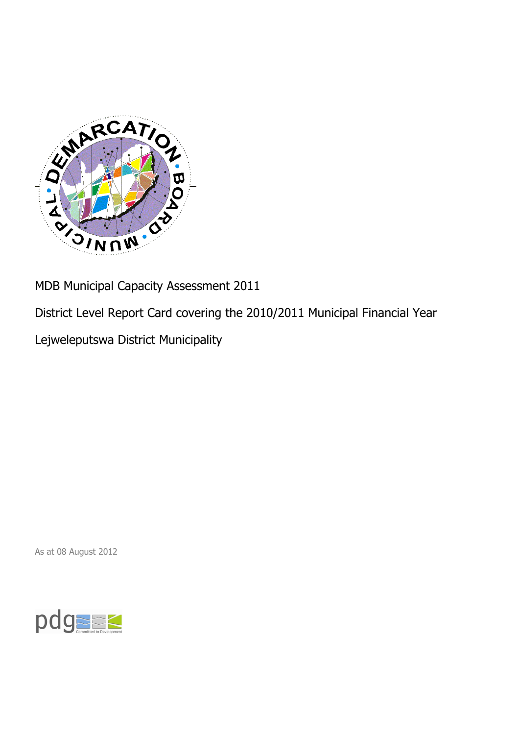

MDB Municipal Capacity Assessment 2011

District Level Report Card covering the 2010/2011 Municipal Financial Year

Lejweleputswa District Municipality

As at 08 August 2012

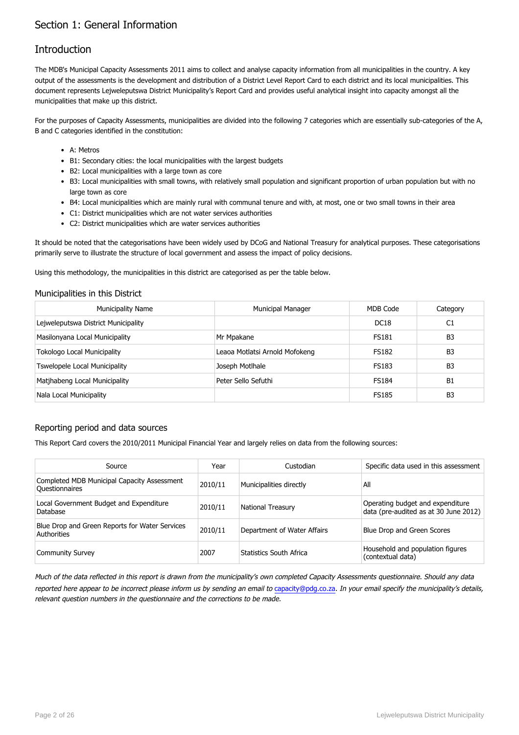## Section 1: General Information

## **Introduction**

The MDB's Municipal Capacity Assessments 2011 aims to collect and analyse capacity information from all municipalities in the country. A key output of the assessments is the development and distribution of a District Level Report Card to each district and its local municipalities. This document represents Lejweleputswa District Municipality's Report Card and provides useful analytical insight into capacity amongst all the municipalities that make up this district.

For the purposes of Capacity Assessments, municipalities are divided into the following 7 categories which are essentially sub-categories of the A, B and C categories identified in the constitution:

- A: Metros
- B1: Secondary cities: the local municipalities with the largest budgets
- B2: Local municipalities with a large town as core
- B3: Local municipalities with small towns, with relatively small population and significant proportion of urban population but with no large town as core
- B4: Local municipalities which are mainly rural with communal tenure and with, at most, one or two small towns in their area
- C1: District municipalities which are not water services authorities
- C2: District municipalities which are water services authorities

It should be noted that the categorisations have been widely used by DCoG and National Treasury for analytical purposes. These categorisations primarily serve to illustrate the structure of local government and assess the impact of policy decisions.

Using this methodology, the municipalities in this district are categorised as per the table below.

#### Municipalities in this District

| <b>Municipality Name</b>            | <b>Municipal Manager</b>       | MDB Code         | Category       |
|-------------------------------------|--------------------------------|------------------|----------------|
| Lejweleputswa District Municipality |                                | DC <sub>18</sub> | C1             |
| Masilonyana Local Municipality      | Mr Mpakane                     | <b>FS181</b>     | B <sub>3</sub> |
| <b>Tokologo Local Municipality</b>  | Leaoa Motlatsi Arnold Mofokeng | <b>FS182</b>     | B <sub>3</sub> |
| Tswelopele Local Municipality       | Joseph Motlhale                | <b>FS183</b>     | B <sub>3</sub> |
| Matjhabeng Local Municipality       | Peter Sello Sefuthi            | <b>FS184</b>     | B <sub>1</sub> |
| Nala Local Municipality             |                                | <b>FS185</b>     | B <sub>3</sub> |

#### Reporting period and data sources

This Report Card covers the 2010/2011 Municipal Financial Year and largely relies on data from the following sources:

| Source                                                        | Year    | Custodian                   | Specific data used in this assessment                                     |
|---------------------------------------------------------------|---------|-----------------------------|---------------------------------------------------------------------------|
| Completed MDB Municipal Capacity Assessment<br>Questionnaires | 2010/11 | Municipalities directly     | All                                                                       |
| Local Government Budget and Expenditure<br>Database           | 2010/11 | <b>National Treasury</b>    | Operating budget and expenditure<br>data (pre-audited as at 30 June 2012) |
| Blue Drop and Green Reports for Water Services<br>Authorities | 2010/11 | Department of Water Affairs | Blue Drop and Green Scores                                                |
| <b>Community Survey</b>                                       | 2007    | Statistics South Africa     | Household and population figures<br>(contextual data)                     |

Much of the data reflected in this report is drawn from the municipality's own completed Capacity Assessments questionnaire. Should any data reported here appear to be incorrect please inform us by sending an email to [capacity@pdg.co.za](mailto:capacity@pdg.co.za). In your email specify the municipality's details, relevant question numbers in the questionnaire and the corrections to be made.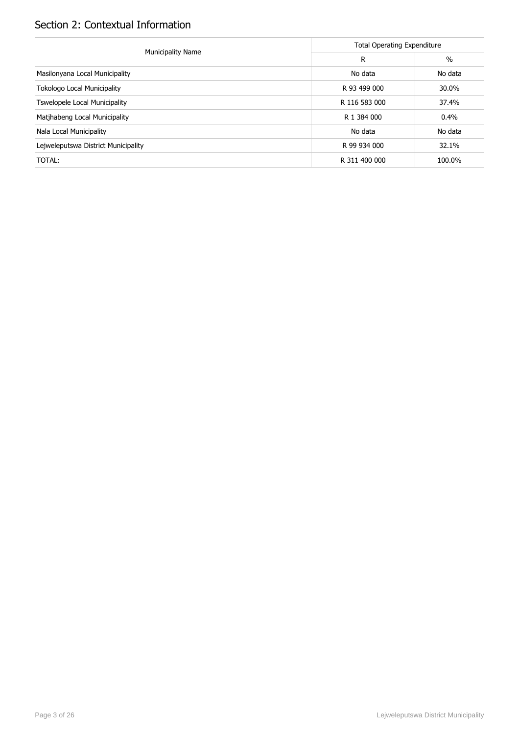# Section 2: Contextual Information

|                                      | <b>Total Operating Expenditure</b> |               |  |  |  |
|--------------------------------------|------------------------------------|---------------|--|--|--|
| <b>Municipality Name</b>             | R                                  | $\frac{0}{0}$ |  |  |  |
| Masilonyana Local Municipality       | No data                            | No data       |  |  |  |
| <b>Tokologo Local Municipality</b>   | R 93 499 000                       | 30.0%         |  |  |  |
| <b>Tswelopele Local Municipality</b> | R 116 583 000                      | 37.4%         |  |  |  |
| Matjhabeng Local Municipality        | R 1 384 000                        | 0.4%          |  |  |  |
| Nala Local Municipality              | No data                            | No data       |  |  |  |
| Lejweleputswa District Municipality  | R 99 934 000                       | 32.1%         |  |  |  |
| TOTAL:                               | R 311 400 000                      | 100.0%        |  |  |  |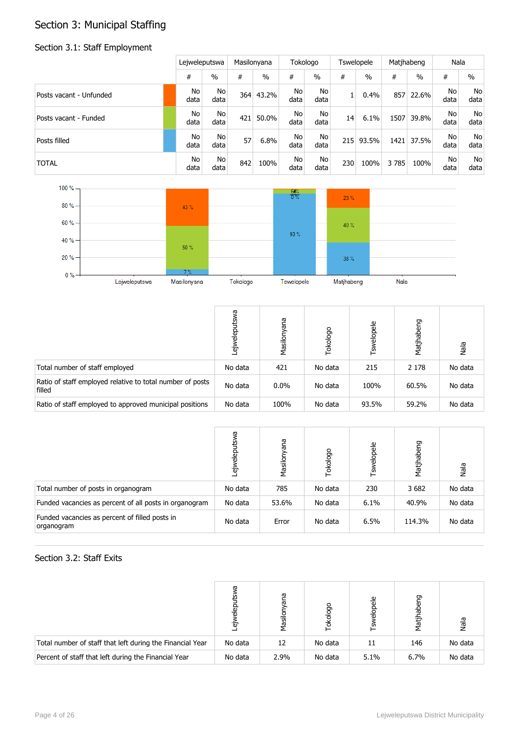# Section 3: Municipal Staffing

## Section 3.1: Staff Employment

|                         | Lejweleputswa     |                        |     | Masilonyana   |            | Tokologo               |     | <b>Tswelopele</b> |      | Matjhabeng    |            | Nala       |
|-------------------------|-------------------|------------------------|-----|---------------|------------|------------------------|-----|-------------------|------|---------------|------------|------------|
|                         | #                 | $\%$                   | #   | $\frac{0}{0}$ | #          | $\frac{0}{0}$          | #   | $\frac{0}{0}$     | #    | $\frac{0}{0}$ | #          | $\%$       |
| Posts vacant - Unfunded | No<br>data        | N <sub>o</sub><br>data | 364 | 43.2%         | No<br>data | N <sub>o</sub><br>data |     | 0.4%              | 857  | 22.6%         | No<br>data | No<br>data |
| Posts vacant - Funded   | No<br>data        | No<br>data             | 421 | 50.0%         | No<br>data | No<br>data             | 14  | 6.1%              | 1507 | 39.8%         | No<br>data | No<br>data |
| Posts filled            | <b>No</b><br>data | No.<br>data            | 57  | 6.8%          | No<br>data | N <sub>o</sub><br>data | 215 | 93.5%             | 1421 | 37.5%         | No<br>data | No<br>data |
| <b>TOTAL</b>            | No<br>data        | N <sub>o</sub><br>data | 842 | 100%          | No<br>data | No<br>data             | 230 | 100%              | 3785 | 100%          | No<br>data | No<br>data |



|                                                                     | Ğ<br>elep<br>٠Έ | Masilonyana | Tokologo | Tswelopele | Matjhabeng | Nala    |
|---------------------------------------------------------------------|-----------------|-------------|----------|------------|------------|---------|
| Total number of staff employed                                      | No data         | 421         | No data  | 215        | 2 1 7 8    | No data |
| Ratio of staff employed relative to total number of posts<br>filled | No data         | $0.0\%$     | No data  | 100%       | 60.5%      | No data |
| Ratio of staff employed to approved municipal positions             | No data         | 100%        | No data  | 93.5%      | 59.2%      | No data |

|                                                              | ā<br>흚<br>$\tilde{\vec{v}}$ | eue<br>Masilony | Tokologo | Tswelopele | Matjhabeng | Nala    |
|--------------------------------------------------------------|-----------------------------|-----------------|----------|------------|------------|---------|
| Total number of posts in organogram                          | No data                     | 785             | No data  | 230        | 3682       | No data |
| Funded vacancies as percent of all posts in organogram       | No data                     | 53.6%           | No data  | 6.1%       | 40.9%      | No data |
| Funded vacancies as percent of filled posts in<br>organogram | No data                     | Error           | No data  | 6.5%       | 114.3%     | No data |

### Section 3.2: Staff Exits

|                                                           | ᠊ᡴ<br>Έō | ā<br>त्त<br>Masil | okologo | elopele<br>m | habeng<br>Matj | Nala    |
|-----------------------------------------------------------|----------|-------------------|---------|--------------|----------------|---------|
| Total number of staff that left during the Financial Year | No data  | 12                | No data | 11           | 146            | No data |
| Percent of staff that left during the Financial Year      | No data  | 2.9%              | No data | 5.1%         | 6.7%           | No data |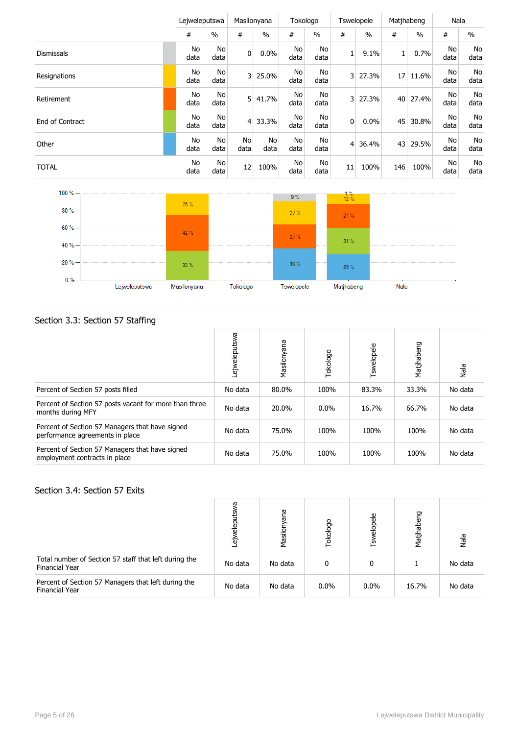|                   | Leiweleputswa     |            |                | Masilonyana | Tokologo   |            |                | <b>Tswelopele</b> |                 | Matihabeng | Nala       |            |
|-------------------|-------------------|------------|----------------|-------------|------------|------------|----------------|-------------------|-----------------|------------|------------|------------|
|                   | #                 | $\%$       | #              | $\%$        | #          | $\%$       | #              | $\frac{0}{0}$     | #               | $\%$       | #          | $\%$       |
| <b>Dismissals</b> | No<br>data        | No<br>data | $\overline{0}$ | 0.0%        | No<br>data | No<br>data | 1              | 9.1%              | 1               | 0.7%       | No<br>data | No<br>data |
| Resignations      | No<br>data        | No<br>data | $\overline{3}$ | 25.0%       | No<br>data | No<br>data | $\overline{3}$ | 27.3%             | 17              | 11.6%      | No<br>data | No<br>data |
| Retirement        | No<br>data        | No<br>data | 5              | 41.7%       | No<br>data | No<br>data | 3              | 27.3%             | 40 <sup>1</sup> | 27.4%      | No<br>data | No<br>data |
| End of Contract   | <b>No</b><br>data | No<br>data | $\overline{4}$ | 33.3%       | No<br>data | No<br>data | $\mathbf 0$    | 0.0%              | 45              | 30.8%      | No<br>data | No<br>data |
| Other             | No<br>data        | No<br>data | No<br>data     | No<br>data  | No<br>data | No<br>data | 4              | 36.4%             | 43              | 29.5%      | No<br>data | No<br>data |
| <b>TOTAL</b>      | No<br>data        | No<br>data | 12             | 100%        | No<br>data | No<br>data | 11             | 100%              | 146             | 100%       | No<br>data | No<br>data |



## Section 3.3: Section 57 Staffing

|                                                                                    | Lejweleputswa | Masilonyana | Tokologo | Tswelopele | Matjhabeng | Nala    |
|------------------------------------------------------------------------------------|---------------|-------------|----------|------------|------------|---------|
| Percent of Section 57 posts filled                                                 | No data       | 80.0%       | 100%     | 83.3%      | 33.3%      | No data |
| Percent of Section 57 posts vacant for more than three<br>months during MFY        | No data       | 20.0%       | $0.0\%$  | 16.7%      | 66.7%      | No data |
| Percent of Section 57 Managers that have signed<br>performance agreements in place | No data       | 75.0%       | 100%     | 100%       | 100%       | No data |
| Percent of Section 57 Managers that have signed<br>employment contracts in place   | No data       | 75.0%       | 100%     | 100%       | 100%       | No data |

#### Section 3.4: Section 57 Exits

|                                                                                | ᠬᠣ<br>흚<br>Έō | ana<br>Masilor | Tokologo | elopele<br>Гsм | Matjhabeng | Nala    |
|--------------------------------------------------------------------------------|---------------|----------------|----------|----------------|------------|---------|
| Total number of Section 57 staff that left during the<br><b>Financial Year</b> | No data       | No data        | 0        | 0              |            | No data |
| Percent of Section 57 Managers that left during the<br><b>Financial Year</b>   | No data       | No data        | 0.0%     | $0.0\%$        | 16.7%      | No data |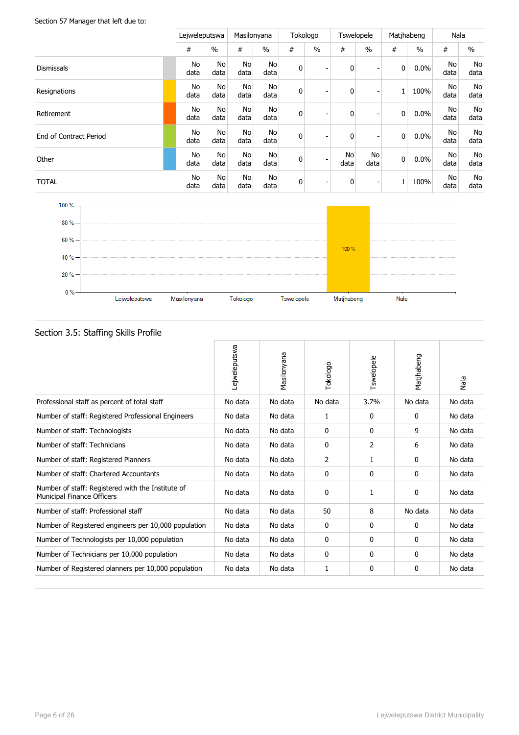#### Section 57 Manager that left due to:

|                        |   |            | Leiweleputswa | Masilonyana            |                   |   | Tokologo                 | <b>Tswelopele</b> |               | Matjhabeng  |               | Nala       |               |
|------------------------|---|------------|---------------|------------------------|-------------------|---|--------------------------|-------------------|---------------|-------------|---------------|------------|---------------|
|                        | # |            | $\frac{0}{0}$ | #                      | $\frac{0}{0}$     | # | $\frac{0}{0}$            | #                 | $\frac{0}{0}$ | #           | $\frac{0}{0}$ | #          | $\frac{0}{0}$ |
| <b>Dismissals</b>      |   | No<br>data | No<br>data    | No<br>data             | <b>No</b><br>data | 0 | $\overline{\phantom{a}}$ | $\mathbf{0}$      |               | 0           | $0.0\%$       | No<br>data | No<br>data    |
| Resignations           |   | No<br>data | No<br>data    | No<br>data             | <b>No</b><br>data | 0 | $\overline{\phantom{a}}$ | $\mathbf{0}$      |               |             | 100%          | No<br>data | No<br>data    |
| Retirement             |   | No<br>data | No<br>data    | N <sub>o</sub><br>data | No<br>data        | 0 | $\overline{\phantom{a}}$ | $\mathbf{0}$      |               | 0           | $0.0\%$       | No<br>data | No<br>data    |
| End of Contract Period |   | No<br>data | No<br>data    | <b>No</b><br>data      | No<br>data        | 0 | $\blacksquare$           | 0                 |               | $\mathbf 0$ | $0.0\%$       | No<br>data | No<br>data    |
| Other                  |   | No<br>data | No<br>data    | <b>No</b><br>data      | No<br>data        | 0 | $\overline{\phantom{a}}$ | No<br>data        | No<br>data    | $\mathbf 0$ | $0.0\%$       | No<br>data | No<br>data    |
| <b>TOTAL</b>           |   | No<br>data | No<br>data    | No<br>data             | <b>No</b><br>data | 0 | $\overline{\phantom{a}}$ | 0                 |               |             | 100%          | No<br>data | No<br>data    |



| seecron sist starting stand in stille                                                  |               |             |          |            |              |         |
|----------------------------------------------------------------------------------------|---------------|-------------|----------|------------|--------------|---------|
|                                                                                        | Lejweleputswa | Masilonyana | Tokologo | Tswelopele | Matjhabeng   | Nala    |
| Professional staff as percent of total staff                                           | No data       | No data     | No data  | 3.7%       | No data      | No data |
| Number of staff: Registered Professional Engineers                                     | No data       | No data     | 1        | 0          | $\mathbf{0}$ | No data |
| Number of staff: Technologists                                                         | No data       | No data     | 0        | 0          | 9            | No data |
| Number of staff: Technicians                                                           | No data       | No data     | 0        | 2          | 6            | No data |
| Number of staff: Registered Planners                                                   | No data       | No data     | 2        | 1          | $\mathbf{0}$ | No data |
| Number of staff: Chartered Accountants                                                 | No data       | No data     | 0        | 0          | 0            | No data |
| Number of staff: Registered with the Institute of<br><b>Municipal Finance Officers</b> | No data       | No data     | 0        |            | 0            | No data |
| Number of staff: Professional staff                                                    | No data       | No data     | 50       | 8          | No data      | No data |
| Number of Registered engineers per 10,000 population                                   | No data       | No data     | 0        | 0          | 0            | No data |
| Number of Technologists per 10,000 population                                          | No data       | No data     | 0        | 0          | $\mathbf{0}$ | No data |
| Number of Technicians per 10,000 population                                            | No data       | No data     | 0        | 0          | 0            | No data |
| Number of Registered planners per 10,000 population                                    | No data       | No data     | 1        | 0          | 0            | No data |

#### Section 3.5: Staffing Skills Profile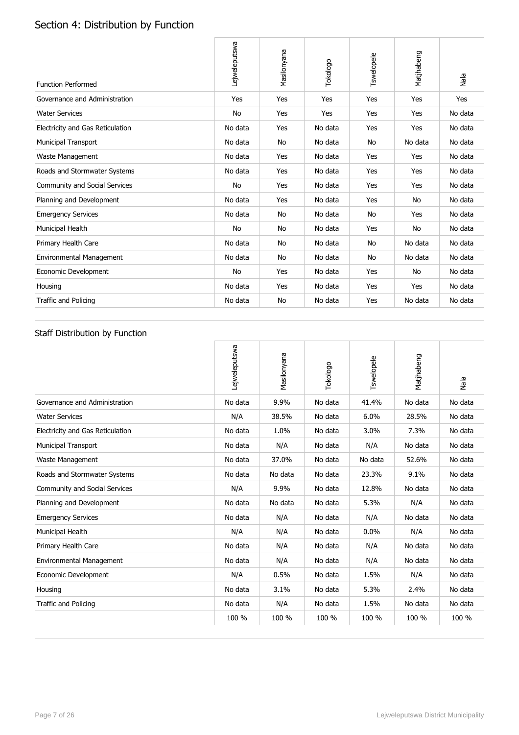# Section 4: Distribution by Function

| <b>Function Performed</b>            | Lejweleputswa | Masilonyana | Tokologo | Tswelopele | Matjhabeng | Nala    |
|--------------------------------------|---------------|-------------|----------|------------|------------|---------|
| Governance and Administration        | Yes           | Yes         | Yes      | Yes        | Yes        | Yes     |
| <b>Water Services</b>                | <b>No</b>     | Yes         | Yes      | Yes        | Yes        | No data |
| Electricity and Gas Reticulation     | No data       | Yes         | No data  | Yes        | Yes        | No data |
| <b>Municipal Transport</b>           | No data       | <b>No</b>   | No data  | No         | No data    | No data |
| Waste Management                     | No data       | Yes         | No data  | Yes        | Yes        | No data |
| Roads and Stormwater Systems         | No data       | Yes         | No data  | Yes        | Yes        | No data |
| <b>Community and Social Services</b> | <b>No</b>     | Yes         | No data  | Yes        | Yes        | No data |
| Planning and Development             | No data       | Yes         | No data  | Yes        | No         | No data |
| <b>Emergency Services</b>            | No data       | No          | No data  | No         | Yes        | No data |
| Municipal Health                     | No            | No          | No data  | Yes        | No         | No data |
| Primary Health Care                  | No data       | No          | No data  | No         | No data    | No data |
| <b>Environmental Management</b>      | No data       | No          | No data  | No         | No data    | No data |
| Economic Development                 | <b>No</b>     | Yes         | No data  | Yes        | No         | No data |
| Housing                              | No data       | Yes         | No data  | Yes        | Yes        | No data |
| <b>Traffic and Policing</b>          | No data       | No          | No data  | Yes        | No data    | No data |

## Staff Distribution by Function

|                                  | Lejweleputswa | Masilonyana | Tokologo | Tswelopele | Matjhabeng | Nala    |
|----------------------------------|---------------|-------------|----------|------------|------------|---------|
| Governance and Administration    | No data       | 9.9%        | No data  | 41.4%      | No data    | No data |
| <b>Water Services</b>            | N/A           | 38.5%       | No data  | 6.0%       | 28.5%      | No data |
| Electricity and Gas Reticulation | No data       | 1.0%        | No data  | 3.0%       | 7.3%       | No data |
| <b>Municipal Transport</b>       | No data       | N/A         | No data  | N/A        | No data    | No data |
| Waste Management                 | No data       | 37.0%       | No data  | No data    | 52.6%      | No data |
| Roads and Stormwater Systems     | No data       | No data     | No data  | 23.3%      | 9.1%       | No data |
| Community and Social Services    | N/A           | 9.9%        | No data  | 12.8%      | No data    | No data |
| Planning and Development         | No data       | No data     | No data  | 5.3%       | N/A        | No data |
| <b>Emergency Services</b>        | No data       | N/A         | No data  | N/A        | No data    | No data |
| Municipal Health                 | N/A           | N/A         | No data  | 0.0%       | N/A        | No data |
| Primary Health Care              | No data       | N/A         | No data  | N/A        | No data    | No data |
| <b>Environmental Management</b>  | No data       | N/A         | No data  | N/A        | No data    | No data |
| Economic Development             | N/A           | 0.5%        | No data  | 1.5%       | N/A        | No data |
| Housing                          | No data       | 3.1%        | No data  | 5.3%       | 2.4%       | No data |
| <b>Traffic and Policing</b>      | No data       | N/A         | No data  | 1.5%       | No data    | No data |
|                                  | 100 %         | 100 %       | 100 %    | 100 %      | 100 %      | 100 %   |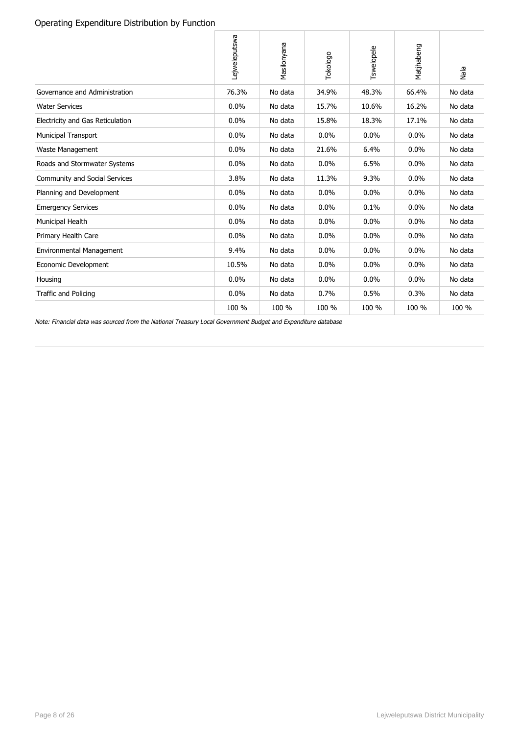### Operating Expenditure Distribution by Function

|                                  | Lejweleputswa | Masilonyana | Tokologo | Tswelopele | Matjhabeng | Nala    |
|----------------------------------|---------------|-------------|----------|------------|------------|---------|
| Governance and Administration    | 76.3%         | No data     | 34.9%    | 48.3%      | 66.4%      | No data |
| <b>Water Services</b>            | 0.0%          | No data     | 15.7%    | 10.6%      | 16.2%      | No data |
| Electricity and Gas Reticulation | 0.0%          | No data     | 15.8%    | 18.3%      | 17.1%      | No data |
| <b>Municipal Transport</b>       | 0.0%          | No data     | $0.0\%$  | 0.0%       | 0.0%       | No data |
| Waste Management                 | 0.0%          | No data     | 21.6%    | 6.4%       | 0.0%       | No data |
| Roads and Stormwater Systems     | 0.0%          | No data     | 0.0%     | 6.5%       | 0.0%       | No data |
| Community and Social Services    | 3.8%          | No data     | 11.3%    | 9.3%       | 0.0%       | No data |
| Planning and Development         | 0.0%          | No data     | 0.0%     | 0.0%       | 0.0%       | No data |
| <b>Emergency Services</b>        | 0.0%          | No data     | 0.0%     | 0.1%       | 0.0%       | No data |
| Municipal Health                 | 0.0%          | No data     | 0.0%     | 0.0%       | 0.0%       | No data |
| Primary Health Care              | 0.0%          | No data     | 0.0%     | 0.0%       | 0.0%       | No data |
| <b>Environmental Management</b>  | 9.4%          | No data     | 0.0%     | 0.0%       | 0.0%       | No data |
| Economic Development             | 10.5%         | No data     | 0.0%     | 0.0%       | 0.0%       | No data |
| Housing                          | 0.0%          | No data     | 0.0%     | 0.0%       | 0.0%       | No data |
| <b>Traffic and Policing</b>      | 0.0%          | No data     | 0.7%     | 0.5%       | 0.3%       | No data |
|                                  | 100 %         | 100 %       | 100 %    | 100 %      | 100 %      | 100 %   |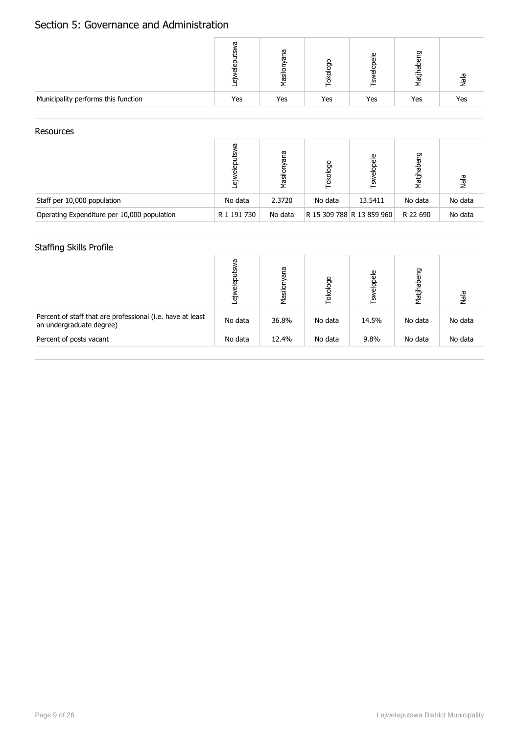## Section 5: Governance and Administration

|                                     |     | ω<br>ത<br>jēs | ႙   | ω   | ರಾ<br>᠊ᢆᢆᢆ<br>latj | ala |
|-------------------------------------|-----|---------------|-----|-----|--------------------|-----|
| Municipality performs this function | Yes | Yes           | Yes | Yes | Yes                | Yes |

#### Resources

|                                             | ᡴᠣ<br>읆<br>Έ | ana<br>Masil | okologo | elopele<br>۲s             | Matjhabeng | Nala    |
|---------------------------------------------|--------------|--------------|---------|---------------------------|------------|---------|
| Staff per 10,000 population                 | No data      | 2.3720       | No data | 13.5411                   | No data    | No data |
| Operating Expenditure per 10,000 population | R 1 191 730  | No data      |         | R 15 309 788 R 13 859 960 | R 22 690   | No data |

## Staffing Skills Profile

|                                                                                        | Б<br>읆<br>$\tilde{\vec{v}}$ | Γã<br>ᡕᢐ<br>Masilor | Tokologo | Tswelopele | Matjhabeng | Nala    |
|----------------------------------------------------------------------------------------|-----------------------------|---------------------|----------|------------|------------|---------|
| Percent of staff that are professional (i.e. have at least<br>an undergraduate degree) | No data                     | 36.8%               | No data  | 14.5%      | No data    | No data |
| Percent of posts vacant                                                                | No data                     | 12.4%               | No data  | 9.8%       | No data    | No data |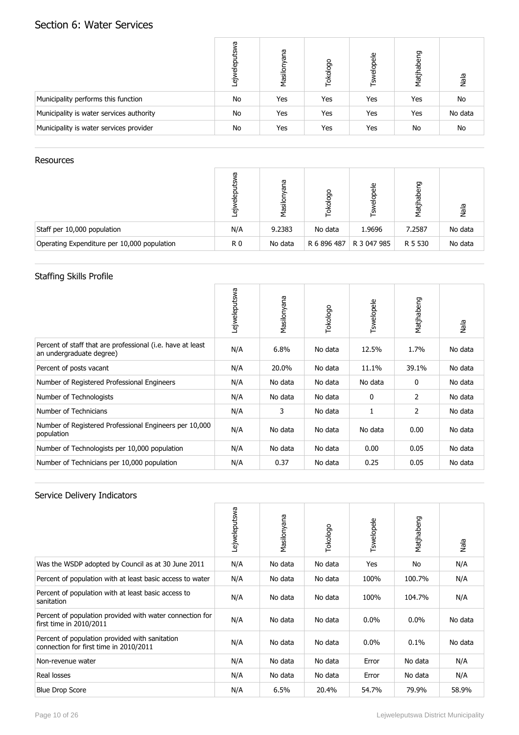## Section 6: Water Services

|                                          | æ<br>$rac{\overline{a}}{a}$<br>هَ | ana<br>Masilony | Tokologo | Tswelopele | Matjhabeng | Nala      |
|------------------------------------------|-----------------------------------|-----------------|----------|------------|------------|-----------|
| Municipality performs this function      | No                                | Yes             | Yes      | Yes        | Yes        | No        |
| Municipality is water services authority | No                                | Yes             | Yes      | Yes        | Yes        | No data   |
| Municipality is water services provider  | No                                | Yes             | Yes      | Yes        | No         | <b>No</b> |

#### Resources

|                                             | ᡴᠦ<br>Έσ | ā<br>ъ<br>Masilo | okologo     | $\frac{e}{\sigma}$<br>흥<br>'n, | Matjhabeng | Nala    |
|---------------------------------------------|----------|------------------|-------------|--------------------------------|------------|---------|
| Staff per 10,000 population                 | N/A      | 9.2383           | No data     | 1.9696                         | 7.2587     | No data |
| Operating Expenditure per 10,000 population | R 0      | No data          | R 6 896 487 | R 3 047 985                    | R 5 530    | No data |

## Staffing Skills Profile

|                                                                                        | Lejweleputswa | Masilonyana | Tokologo | Tswelopele | Matjhabeng | Nala    |
|----------------------------------------------------------------------------------------|---------------|-------------|----------|------------|------------|---------|
| Percent of staff that are professional (i.e. have at least<br>an undergraduate degree) | N/A           | 6.8%        | No data  | 12.5%      | 1.7%       | No data |
| Percent of posts vacant                                                                | N/A           | 20.0%       | No data  | 11.1%      | 39.1%      | No data |
| Number of Registered Professional Engineers                                            | N/A           | No data     | No data  | No data    | 0          | No data |
| Number of Technologists                                                                | N/A           | No data     | No data  | 0          | 2          | No data |
| Number of Technicians                                                                  | N/A           | 3           | No data  |            | 2          | No data |
| Number of Registered Professional Engineers per 10,000<br>population                   | N/A           | No data     | No data  | No data    | 0.00       | No data |
| Number of Technologists per 10,000 population                                          | N/A           | No data     | No data  | 0.00       | 0.05       | No data |
| Number of Technicians per 10,000 population                                            | N/A           | 0.37        | No data  | 0.25       | 0.05       | No data |

|                                                                                          | Lejweleputswa | Masilonyana | Tokologo | Tswelopele | Matjhabeng | Nala    |
|------------------------------------------------------------------------------------------|---------------|-------------|----------|------------|------------|---------|
| Was the WSDP adopted by Council as at 30 June 2011                                       | N/A           | No data     | No data  | Yes        | No         | N/A     |
| Percent of population with at least basic access to water                                | N/A           | No data     | No data  | 100%       | 100.7%     | N/A     |
| Percent of population with at least basic access to<br>sanitation                        | N/A           | No data     | No data  | 100%       | 104.7%     | N/A     |
| Percent of population provided with water connection for<br>first time in 2010/2011      | N/A           | No data     | No data  | $0.0\%$    | 0.0%       | No data |
| Percent of population provided with sanitation<br>connection for first time in 2010/2011 | N/A           | No data     | No data  | $0.0\%$    | 0.1%       | No data |
| Non-revenue water                                                                        | N/A           | No data     | No data  | Error      | No data    | N/A     |
| Real losses                                                                              | N/A           | No data     | No data  | Error      | No data    | N/A     |
| <b>Blue Drop Score</b>                                                                   | N/A           | 6.5%        | 20.4%    | 54.7%      | 79.9%      | 58.9%   |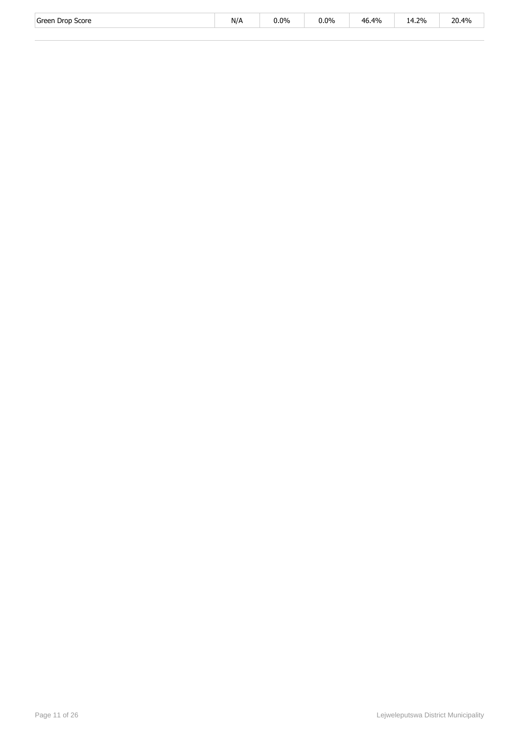| Green<br>Score<br>Dron | .<br>N/A | $0.0\%$<br>. | 0.0%<br>$\sim$ $\sim$ $\sim$ | 46.4% | 4.2%<br>ے ا | 20.4% |
|------------------------|----------|--------------|------------------------------|-------|-------------|-------|
|------------------------|----------|--------------|------------------------------|-------|-------------|-------|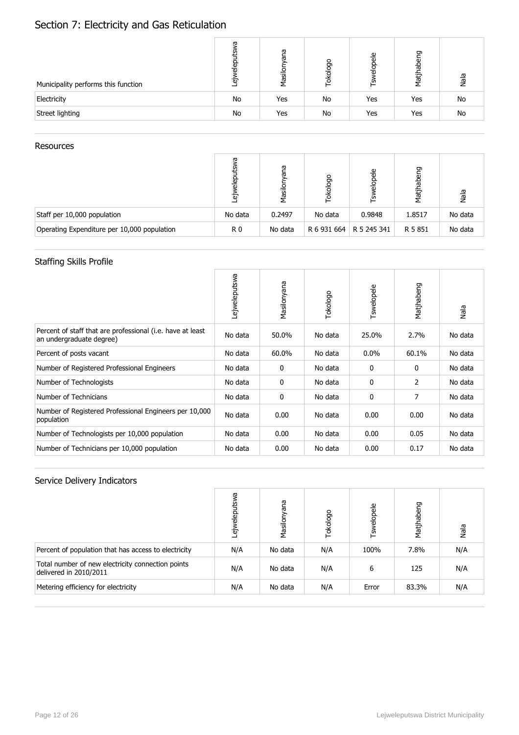# Section 7: Electricity and Gas Reticulation

| Municipality performs this function | ā<br>$rac{1}{2}$<br>.<br>__ | ana<br>Masilor | okologo | elopele<br>ے | pabeng<br>Matj <sup>1</sup> | Nala |
|-------------------------------------|-----------------------------|----------------|---------|--------------|-----------------------------|------|
| Electricity                         | No                          | Yes            | No      | Yes          | Yes                         | No   |
| Street lighting                     | No                          | Yes            | No      | Yes          | Yes                         | No   |

#### Resources

|                                             | ᡕᢐ<br>ಹ<br>Έσ  | ā<br>ౚ<br>Masil | okologo     | elopele<br>ے∟ | pabeng<br>Matjh | Nala    |
|---------------------------------------------|----------------|-----------------|-------------|---------------|-----------------|---------|
| Staff per 10,000 population                 | No data        | 0.2497          | No data     | 0.9848        | 1.8517          | No data |
| Operating Expenditure per 10,000 population | R <sub>0</sub> | No data         | R 6 931 664 | R 5 245 341   | R 5 851         | No data |

## Staffing Skills Profile

|                                                                                        | Lejweleputswa | Masilonyana | Tokologo | Tswelopele | Matjhabeng | Nala    |
|----------------------------------------------------------------------------------------|---------------|-------------|----------|------------|------------|---------|
| Percent of staff that are professional (i.e. have at least<br>an undergraduate degree) | No data       | 50.0%       | No data  | 25.0%      | 2.7%       | No data |
| Percent of posts vacant                                                                | No data       | 60.0%       | No data  | $0.0\%$    | 60.1%      | No data |
| Number of Registered Professional Engineers                                            | No data       | 0           | No data  | 0          | 0          | No data |
| Number of Technologists                                                                | No data       | 0           | No data  | 0          | 2          | No data |
| Number of Technicians                                                                  | No data       | 0           | No data  | 0          | 7          | No data |
| Number of Registered Professional Engineers per 10,000<br>population                   | No data       | 0.00        | No data  | 0.00       | 0.00       | No data |
| Number of Technologists per 10,000 population                                          | No data       | 0.00        | No data  | 0.00       | 0.05       | No data |
| Number of Technicians per 10,000 population                                            | No data       | 0.00        | No data  | 0.00       | 0.17       | No data |

|                                                                             | g<br>Ñ<br>흡<br>$\vec{v}$ | Masilonyana | Tokologo | Tswelopele | Matjhabeng | Nala |
|-----------------------------------------------------------------------------|--------------------------|-------------|----------|------------|------------|------|
| Percent of population that has access to electricity                        | N/A                      | No data     | N/A      | 100%       | 7.8%       | N/A  |
| Total number of new electricity connection points<br>delivered in 2010/2011 | N/A                      | No data     | N/A      | 6          | 125        | N/A  |
| Metering efficiency for electricity                                         | N/A                      | No data     | N/A      | Error      | 83.3%      | N/A  |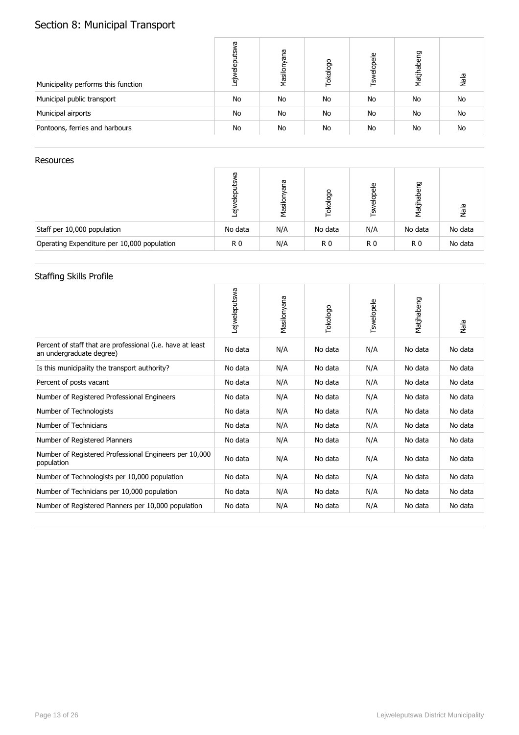# Section 8: Municipal Transport

| Municipality performs this function | ᡕᠣ<br>elep<br>هَ | eue<br>Masilony | Tokologo | <b>Tswelopele</b> | Matjhabeng | Nala      |
|-------------------------------------|------------------|-----------------|----------|-------------------|------------|-----------|
| Municipal public transport          | No               | No              | No       | No                | No         | No        |
| Municipal airports                  | No               | No              | No       | No                | No         | No        |
| Pontoons, ferries and harbours      | No               | No              | No       | No                | No         | <b>No</b> |

#### Resources

|                                             | ᡕᢐ<br>을<br>Έσ  | ā<br>ᡕᢐ<br>Nasil | okologo        | elopele<br>ے   | Matjhabeng     | Nala    |
|---------------------------------------------|----------------|------------------|----------------|----------------|----------------|---------|
| Staff per 10,000 population                 | No data        | N/A              | No data        | N/A            | No data        | No data |
| Operating Expenditure per 10,000 population | R <sub>0</sub> | N/A              | R <sub>0</sub> | R <sub>0</sub> | R <sub>0</sub> | No data |

## Staffing Skills Profile

|                                                                                        | Lejweleputswa | Masilonyana | Tokologo | Tswelopele | Matjhabeng | Nala    |
|----------------------------------------------------------------------------------------|---------------|-------------|----------|------------|------------|---------|
| Percent of staff that are professional (i.e. have at least<br>an undergraduate degree) | No data       | N/A         | No data  | N/A        | No data    | No data |
| Is this municipality the transport authority?                                          | No data       | N/A         | No data  | N/A        | No data    | No data |
| Percent of posts vacant                                                                | No data       | N/A         | No data  | N/A        | No data    | No data |
| Number of Registered Professional Engineers                                            | No data       | N/A         | No data  | N/A        | No data    | No data |
| Number of Technologists                                                                | No data       | N/A         | No data  | N/A        | No data    | No data |
| Number of Technicians                                                                  | No data       | N/A         | No data  | N/A        | No data    | No data |
| Number of Registered Planners                                                          | No data       | N/A         | No data  | N/A        | No data    | No data |
| Number of Registered Professional Engineers per 10,000<br>population                   | No data       | N/A         | No data  | N/A        | No data    | No data |
| Number of Technologists per 10,000 population                                          | No data       | N/A         | No data  | N/A        | No data    | No data |
| Number of Technicians per 10,000 population                                            | No data       | N/A         | No data  | N/A        | No data    | No data |
| Number of Registered Planners per 10,000 population                                    | No data       | N/A         | No data  | N/A        | No data    | No data |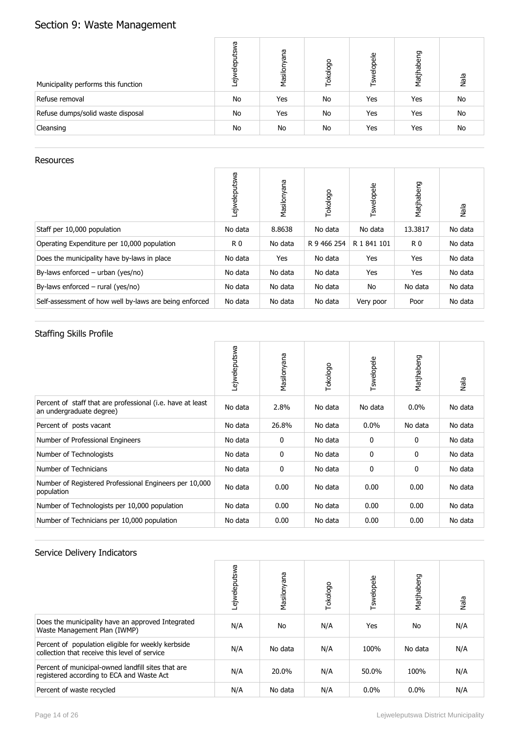# Section 9: Waste Management

| Municipality performs this function | ā<br>'n<br>elep<br>5 | eue<br>Masilony | Tokologo | Tswelopele | Matjhabeng | Nala      |
|-------------------------------------|----------------------|-----------------|----------|------------|------------|-----------|
| Refuse removal                      | No                   | Yes             | No       | Yes        | Yes        | <b>No</b> |
| Refuse dumps/solid waste disposal   | No                   | Yes             | No       | Yes        | Yes        | <b>No</b> |
| Cleansing                           | No                   | No              | No       | Yes        | Yes        | <b>No</b> |

### Resources

|                                                        | Lejweleputswa  | Masilonyana | Tokologo    | Tswelopele  | Matjhabeng     | Nala    |
|--------------------------------------------------------|----------------|-------------|-------------|-------------|----------------|---------|
| Staff per 10,000 population                            | No data        | 8.8638      | No data     | No data     | 13.3817        | No data |
| Operating Expenditure per 10,000 population            | R <sub>0</sub> | No data     | R 9 466 254 | R 1 841 101 | R <sub>0</sub> | No data |
| Does the municipality have by-laws in place            | No data        | Yes         | No data     | Yes         | Yes            | No data |
| By-laws enforced $-$ urban (yes/no)                    | No data        | No data     | No data     | Yes         | Yes            | No data |
| By-laws enforced $-$ rural (yes/no)                    | No data        | No data     | No data     | No          | No data        | No data |
| Self-assessment of how well by-laws are being enforced | No data        | No data     | No data     | Very poor   | Poor           | No data |

## Staffing Skills Profile

|                                                                                        | Lejweleputswa | Masilonyana | Tokologo | Tswelopele   | Matjhabeng | Nala    |
|----------------------------------------------------------------------------------------|---------------|-------------|----------|--------------|------------|---------|
| Percent of staff that are professional (i.e. have at least<br>an undergraduate degree) | No data       | 2.8%        | No data  | No data      | $0.0\%$    | No data |
| Percent of posts vacant                                                                | No data       | 26.8%       | No data  | $0.0\%$      | No data    | No data |
| Number of Professional Engineers                                                       | No data       | 0           | No data  | $\mathbf{0}$ | 0          | No data |
| Number of Technologists                                                                | No data       | 0           | No data  | $\mathbf{0}$ | 0          | No data |
| Number of Technicians                                                                  | No data       | 0           | No data  | 0            | 0          | No data |
| Number of Registered Professional Engineers per 10,000<br>population                   | No data       | 0.00        | No data  | 0.00         | 0.00       | No data |
| Number of Technologists per 10,000 population                                          | No data       | 0.00        | No data  | 0.00         | 0.00       | No data |
| Number of Technicians per 10,000 population                                            | No data       | 0.00        | No data  | 0.00         | 0.00       | No data |

|                                                                                                     | Lejweleputswa | Masilonyana | Tokologo | Tswelopele | Matjhabeng | Nala |
|-----------------------------------------------------------------------------------------------------|---------------|-------------|----------|------------|------------|------|
| Does the municipality have an approved Integrated<br>Waste Management Plan (IWMP)                   | N/A           | No          | N/A      | Yes        | No.        | N/A  |
| Percent of population eligible for weekly kerbside<br>collection that receive this level of service | N/A           | No data     | N/A      | 100%       | No data    | N/A  |
| Percent of municipal-owned landfill sites that are<br>registered according to ECA and Waste Act     | N/A           | 20.0%       | N/A      | 50.0%      | 100%       | N/A  |
| Percent of waste recycled                                                                           | N/A           | No data     | N/A      | $0.0\%$    | 0.0%       | N/A  |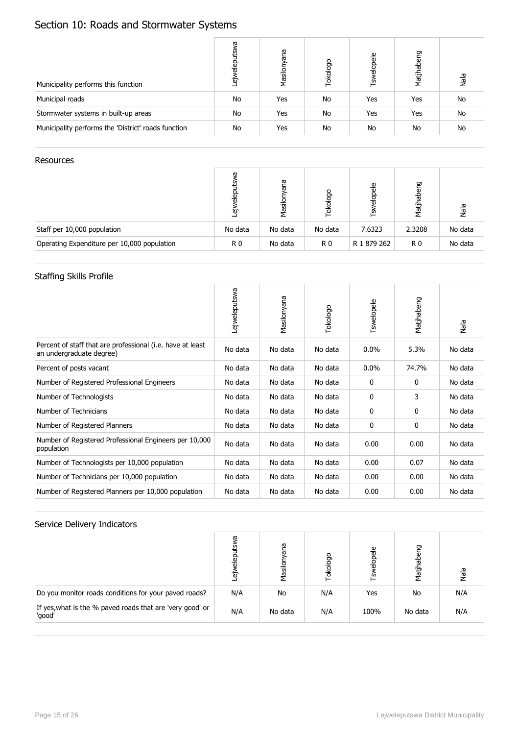# Section 10: Roads and Stormwater Systems

| Municipality performs this function                 | ᡕᠣ<br>elep<br>ه | eue<br>Masilony | Tokologo | <b>Tswelopele</b> | Matjhabeng | Nala      |
|-----------------------------------------------------|-----------------|-----------------|----------|-------------------|------------|-----------|
| Municipal roads                                     | No              | Yes             | No       | Yes               | Yes        | No        |
| Stormwater systems in built-up areas                | No              | Yes             | No       | Yes               | Yes        | No        |
| Municipality performs the 'District' roads function | No              | Yes             | No       | No                | No         | <b>No</b> |

#### Resources

|                                             | ᡴᠣ<br>$rac{1}{2}$<br>۵ | ā<br>ъ<br>Masilo | okologo        | elopele<br>ے | Matjhabeng     | Nala    |
|---------------------------------------------|------------------------|------------------|----------------|--------------|----------------|---------|
| Staff per 10,000 population                 | No data                | No data          | No data        | 7.6323       | 2.3208         | No data |
| Operating Expenditure per 10,000 population | R0                     | No data          | R <sub>0</sub> | R 1 879 262  | R <sub>0</sub> | No data |

## Staffing Skills Profile

|                                                                                        | Lejweleputswa | Masilonyana | Tokologo | Tswelopele | Matjhabeng   | Nala    |
|----------------------------------------------------------------------------------------|---------------|-------------|----------|------------|--------------|---------|
| Percent of staff that are professional (i.e. have at least<br>an undergraduate degree) | No data       | No data     | No data  | 0.0%       | 5.3%         | No data |
| Percent of posts vacant                                                                | No data       | No data     | No data  | $0.0\%$    | 74.7%        | No data |
| Number of Registered Professional Engineers                                            | No data       | No data     | No data  | 0          | 0            | No data |
| Number of Technologists                                                                | No data       | No data     | No data  | 0          | 3            | No data |
| Number of Technicians                                                                  | No data       | No data     | No data  | 0          | $\mathbf{0}$ | No data |
| Number of Registered Planners                                                          | No data       | No data     | No data  | 0          | 0            | No data |
| Number of Registered Professional Engineers per 10,000<br>population                   | No data       | No data     | No data  | 0.00       | 0.00         | No data |
| Number of Technologists per 10,000 population                                          | No data       | No data     | No data  | 0.00       | 0.07         | No data |
| Number of Technicians per 10,000 population                                            | No data       | No data     | No data  | 0.00       | 0.00         | No data |
| Number of Registered Planners per 10,000 population                                    | No data       | No data     | No data  | 0.00       | 0.00         | No data |

|                                                                     | σ<br>'n<br>윤<br>᠗<br>۵۳ | ma<br>ᢛ<br>Masilor | Tokologo | elopele<br>Τsw | Matjhabeng | Nala |
|---------------------------------------------------------------------|-------------------------|--------------------|----------|----------------|------------|------|
| Do you monitor roads conditions for your paved roads?               | N/A                     | No                 | N/A      | Yes            | No         | N/A  |
| If yes, what is the % paved roads that are 'very good' or<br>'good' | N/A                     | No data            | N/A      | 100%           | No data    | N/A  |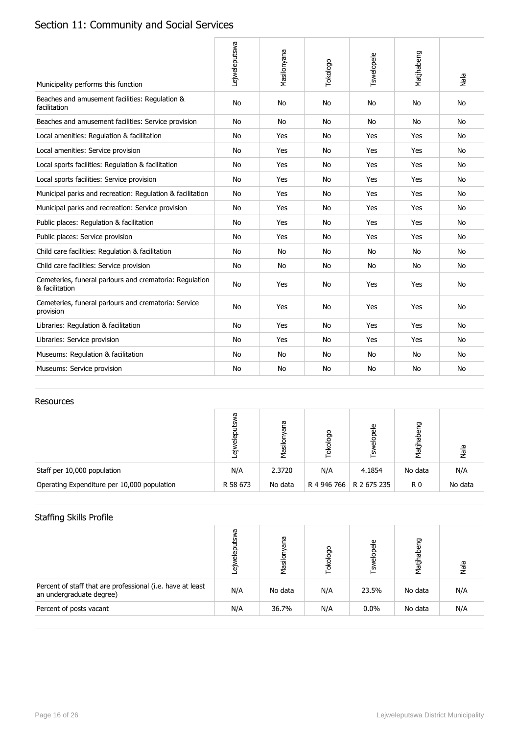# Section 11: Community and Social Services

| Municipality performs this function                                       | Lejweleputswa | Masilonyana | Tokologo | Tswelopele | Matjhabeng | Nala      |
|---------------------------------------------------------------------------|---------------|-------------|----------|------------|------------|-----------|
| Beaches and amusement facilities: Regulation &<br>facilitation            | <b>No</b>     | <b>No</b>   | No       | No         | <b>No</b>  | <b>No</b> |
| Beaches and amusement facilities: Service provision                       | No            | <b>No</b>   | No       | <b>No</b>  | <b>No</b>  | <b>No</b> |
| Local amenities: Regulation & facilitation                                | No            | Yes         | No       | Yes        | Yes        | No.       |
| Local amenities: Service provision                                        | <b>No</b>     | Yes         | No       | Yes        | Yes        | <b>No</b> |
| Local sports facilities: Regulation & facilitation                        | <b>No</b>     | Yes         | No       | Yes        | Yes        | No        |
| Local sports facilities: Service provision                                | <b>No</b>     | Yes         | No       | Yes        | Yes        | <b>No</b> |
| Municipal parks and recreation: Regulation & facilitation                 | <b>No</b>     | Yes         | No       | Yes        | Yes        | No        |
| Municipal parks and recreation: Service provision                         | <b>No</b>     | Yes         | No       | Yes        | Yes        | <b>No</b> |
| Public places: Regulation & facilitation                                  | <b>No</b>     | Yes         | No       | Yes        | Yes        | <b>No</b> |
| Public places: Service provision                                          | <b>No</b>     | Yes         | No       | Yes        | Yes        | No        |
| Child care facilities: Regulation & facilitation                          | <b>No</b>     | No          | No       | No.        | <b>No</b>  | <b>No</b> |
| Child care facilities: Service provision                                  | No            | No          | No       | No         | <b>No</b>  | No        |
| Cemeteries, funeral parlours and crematoria: Regulation<br>& facilitation | <b>No</b>     | Yes         | No       | Yes        | Yes        | <b>No</b> |
| Cemeteries, funeral parlours and crematoria: Service<br>provision         | <b>No</b>     | Yes         | No       | Yes        | Yes        | <b>No</b> |
| Libraries: Regulation & facilitation                                      | <b>No</b>     | Yes         | No       | Yes        | Yes        | No.       |
| Libraries: Service provision                                              | No            | Yes         | No       | Yes        | Yes        | No        |
| Museums: Regulation & facilitation                                        | <b>No</b>     | No          | No       | No         | <b>No</b>  | <b>No</b> |
| Museums: Service provision                                                | No            | No.         | No       | No.        | <b>No</b>  | No        |

#### Resources

|                                             | ω<br>Έσ  | ā<br>등<br>Masilo | okologo     | elopele<br>∟ূ | Matjhabeng     | Nala    |
|---------------------------------------------|----------|------------------|-------------|---------------|----------------|---------|
| Staff per 10,000 population                 | N/A      | 2.3720           | N/A         | 4.1854        | No data        | N/A     |
| Operating Expenditure per 10,000 population | R 58 673 | No data          | R 4 946 766 | R 2 675 235   | R <sub>0</sub> | No data |

## Staffing Skills Profile

|                                                                                        | ᡕᢐ<br>elep<br>.e | ana<br>Masilor | Tokologo | Tswelopele | Matjhabeng | Nala |
|----------------------------------------------------------------------------------------|------------------|----------------|----------|------------|------------|------|
| Percent of staff that are professional (i.e. have at least<br>an undergraduate degree) | N/A              | No data        | N/A      | 23.5%      | No data    | N/A  |
| Percent of posts vacant                                                                | N/A              | 36.7%          | N/A      | $0.0\%$    | No data    | N/A  |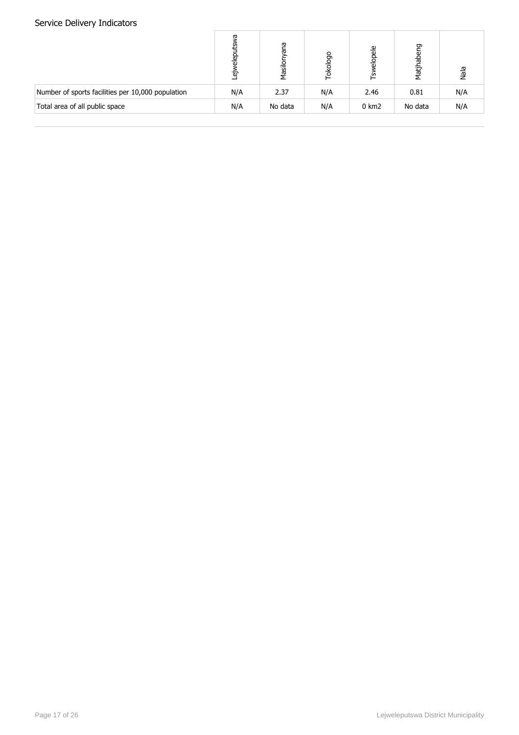|                                                   | ω<br>릚<br>۵۵ | ၉၅<br>ಹ<br>Masilor | Tokologo | elopele<br>ے     | Matjhabeng | Nala |
|---------------------------------------------------|--------------|--------------------|----------|------------------|------------|------|
| Number of sports facilities per 10,000 population | N/A          | 2.37               | N/A      | 2.46             | 0.81       | N/A  |
| Total area of all public space                    | N/A          | No data            | N/A      | $0 \text{ km}$ 2 | No data    | N/A  |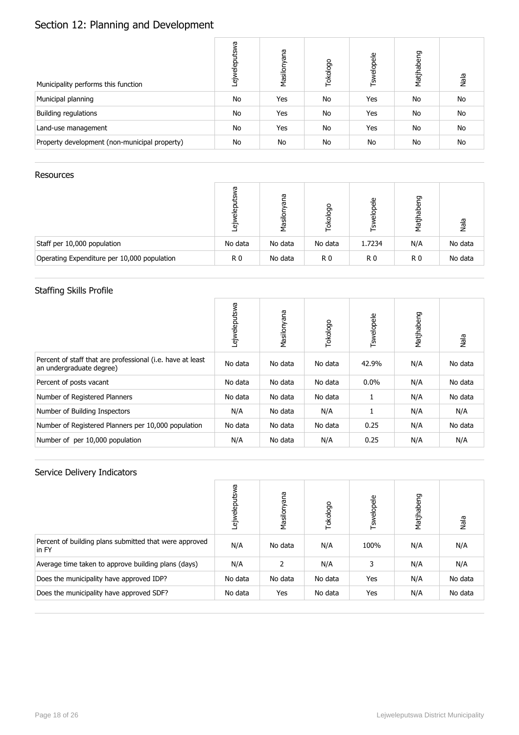# Section 12: Planning and Development

| Municipality performs this function           | δÑ<br>ejweleputs | Masilonyana | Tokologo | Tswelopele | Matjhabeng | Nala      |
|-----------------------------------------------|------------------|-------------|----------|------------|------------|-----------|
| Municipal planning                            | No               | Yes         | No       | Yes        | No         | No        |
| <b>Building regulations</b>                   | No               | Yes         | No       | Yes        | No         | No        |
| Land-use management                           | No               | Yes         | No       | Yes        | No         | No        |
| Property development (non-municipal property) | No               | No          | No       | No         | No         | <b>No</b> |

#### Resources

|                                             | σ<br>흥<br><sup>.</sup> თ | ā<br>ಹ<br>Masilor | ologo<br>종 | elopele<br>≌   | habeng<br>Matj <sup>r</sup> | Nala    |
|---------------------------------------------|--------------------------|-------------------|------------|----------------|-----------------------------|---------|
| Staff per 10,000 population                 | No data                  | No data           | No data    | 1.7234         | N/A                         | No data |
| Operating Expenditure per 10,000 population | R <sub>0</sub>           | No data           | R0         | R <sub>0</sub> | R <sub>0</sub>              | No data |

## Staffing Skills Profile

|                                                                                        | Lejweleputswa | Masilonyana | Tokologo | Tswelopele | Matjhabeng | Nala    |
|----------------------------------------------------------------------------------------|---------------|-------------|----------|------------|------------|---------|
| Percent of staff that are professional (i.e. have at least<br>an undergraduate degree) | No data       | No data     | No data  | 42.9%      | N/A        | No data |
| Percent of posts vacant                                                                | No data       | No data     | No data  | $0.0\%$    | N/A        | No data |
| Number of Registered Planners                                                          | No data       | No data     | No data  |            | N/A        | No data |
| Number of Building Inspectors                                                          | N/A           | No data     | N/A      |            | N/A        | N/A     |
| Number of Registered Planners per 10,000 population                                    | No data       | No data     | No data  | 0.25       | N/A        | No data |
| Number of per 10,000 population                                                        | N/A           | No data     | N/A      | 0.25       | N/A        | N/A     |

|                                                                 | ejweleputswa | Masilonyana | Tokologo | Tswelopele | Matjhabeng | Nala    |
|-----------------------------------------------------------------|--------------|-------------|----------|------------|------------|---------|
| Percent of building plans submitted that were approved<br>in FY | N/A          | No data     | N/A      | 100%       | N/A        | N/A     |
| Average time taken to approve building plans (days)             | N/A          | 2           | N/A      | 3          | N/A        | N/A     |
| Does the municipality have approved IDP?                        | No data      | No data     | No data  | Yes        | N/A        | No data |
| Does the municipality have approved SDF?                        | No data      | Yes         | No data  | Yes        | N/A        | No data |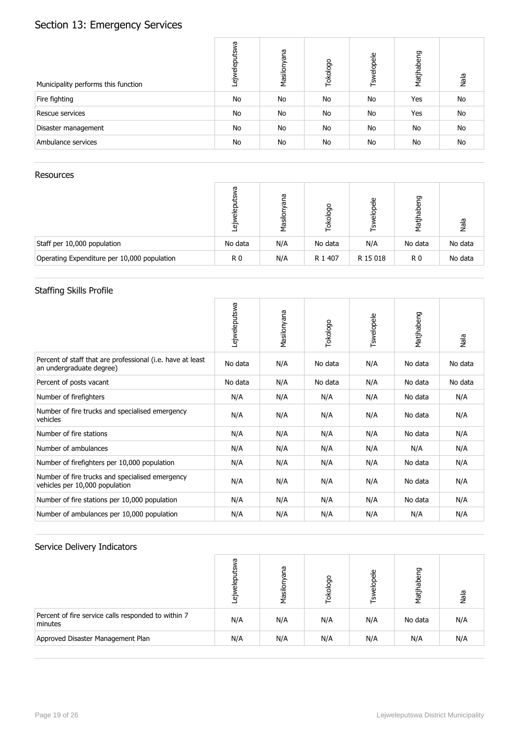# Section 13: Emergency Services

| Municipality performs this function | Lejweleputswa | Masilonyana | Tokologo | Tswelopele | Matjhabeng | Nala      |
|-------------------------------------|---------------|-------------|----------|------------|------------|-----------|
| Fire fighting                       | No            | No          | No       | No         | <b>Yes</b> | No        |
| Rescue services                     | No            | No          | No       | No         | Yes        | No        |
| Disaster management                 | No            | No          | No       | No         | No         | No        |
| Ambulance services                  | No            | No          | No       | No         | No         | <b>No</b> |

#### Resources

|                                             | σ<br>₪<br>"ნ | ā<br>ಹ<br>Masil | okologo | 음<br>$rac{1}{2}$<br>ے∟ | Matjhabeng     | Nala    |
|---------------------------------------------|--------------|-----------------|---------|------------------------|----------------|---------|
| Staff per 10,000 population                 | No data      | N/A             | No data | N/A                    | No data        | No data |
| Operating Expenditure per 10,000 population | R 0          | N/A             | R 1 407 | R 15 018               | R <sub>0</sub> | No data |

## Staffing Skills Profile

|                                                                                        | Lejweleputswa | Masilonyana | Tokologo | Tswelopele | Matjhabeng | Nala    |
|----------------------------------------------------------------------------------------|---------------|-------------|----------|------------|------------|---------|
| Percent of staff that are professional (i.e. have at least<br>an undergraduate degree) | No data       | N/A         | No data  | N/A        | No data    | No data |
| Percent of posts vacant                                                                | No data       | N/A         | No data  | N/A        | No data    | No data |
| Number of firefighters                                                                 | N/A           | N/A         | N/A      | N/A        | No data    | N/A     |
| Number of fire trucks and specialised emergency<br>vehicles                            | N/A           | N/A         | N/A      | N/A        | No data    | N/A     |
| Number of fire stations                                                                | N/A           | N/A         | N/A      | N/A        | No data    | N/A     |
| Number of ambulances                                                                   | N/A           | N/A         | N/A      | N/A        | N/A        | N/A     |
| Number of firefighters per 10,000 population                                           | N/A           | N/A         | N/A      | N/A        | No data    | N/A     |
| Number of fire trucks and specialised emergency<br>vehicles per 10,000 population      | N/A           | N/A         | N/A      | N/A        | No data    | N/A     |
| Number of fire stations per 10,000 population                                          | N/A           | N/A         | N/A      | N/A        | No data    | N/A     |
| Number of ambulances per 10,000 population                                             | N/A           | N/A         | N/A      | N/A        | N/A        | N/A     |

|                                                                | ᡕᢐ<br>elep<br>Έσ | eue<br>Masilor | Tokologo | elopele<br>্দূ | Matjhabeng | Nala |
|----------------------------------------------------------------|------------------|----------------|----------|----------------|------------|------|
| Percent of fire service calls responded to within 7<br>minutes | N/A              | N/A            | N/A      | N/A            | No data    | N/A  |
| Approved Disaster Management Plan                              | N/A              | N/A            | N/A      | N/A            | N/A        | N/A  |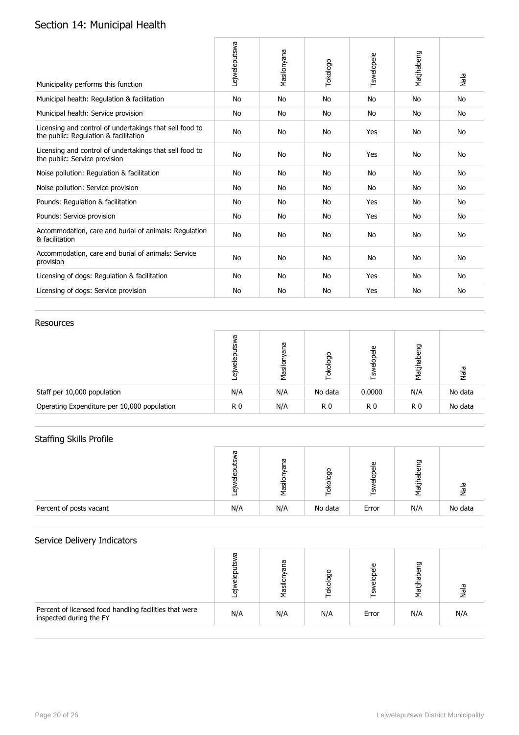# Section 14: Municipal Health

| Municipality performs this function                                                              | Lejweleputswa | Masilonyana | Tokologo  | Tswelopele | Matjhabeng | Nala      |
|--------------------------------------------------------------------------------------------------|---------------|-------------|-----------|------------|------------|-----------|
| Municipal health: Regulation & facilitation                                                      | No            | No          | No        | No         | <b>No</b>  | <b>No</b> |
| Municipal health: Service provision                                                              | No            | No          | No        | No         | <b>No</b>  | <b>No</b> |
| Licensing and control of undertakings that sell food to<br>the public: Regulation & facilitation | <b>No</b>     | No          | No        | Yes        | <b>No</b>  | <b>No</b> |
| Licensing and control of undertakings that sell food to<br>the public: Service provision         | <b>No</b>     | No          | No        | Yes        | <b>No</b>  | <b>No</b> |
| Noise pollution: Regulation & facilitation                                                       | <b>No</b>     | No          | No        | No         | <b>No</b>  | <b>No</b> |
| Noise pollution: Service provision                                                               | No            | No          | No        | No         | <b>No</b>  | <b>No</b> |
| Pounds: Regulation & facilitation                                                                | <b>No</b>     | No          | <b>No</b> | Yes        | <b>No</b>  | <b>No</b> |
| Pounds: Service provision                                                                        | No            | No          | No        | Yes        | <b>No</b>  | <b>No</b> |
| Accommodation, care and burial of animals: Regulation<br>& facilitation                          | <b>No</b>     | <b>No</b>   | <b>No</b> | <b>No</b>  | <b>No</b>  | <b>No</b> |
| Accommodation, care and burial of animals: Service<br>provision                                  | No            | No          | No        | No         | <b>No</b>  | <b>No</b> |
| Licensing of dogs: Regulation & facilitation                                                     | No            | No          | No        | Yes        | <b>No</b>  | <b>No</b> |
| Licensing of dogs: Service provision                                                             | No            | No          | No        | Yes        | <b>No</b>  | <b>No</b> |

#### Resources

|                                             | ᡕᢐ<br>흐<br>᠗<br>۵ | ā<br>ω<br>Masil | logo<br>홍 | 음<br>.U)       | abeng<br>Matj  | Nala    |
|---------------------------------------------|-------------------|-----------------|-----------|----------------|----------------|---------|
| Staff per 10,000 population                 | N/A               | N/A             | No data   | 0.0000         | N/A            | No data |
| Operating Expenditure per 10,000 population | R <sub>0</sub>    | N/A             | R0        | R <sub>0</sub> | R <sub>0</sub> | No data |

## Staffing Skills Profile

|                         | Œ<br>മ<br>᠗<br>Έū | ᠬᠣ<br>ᢐ<br>ā | $\circ$<br>Ō | ω<br>თ | ᡡ<br>ಸಾ<br>᠊ᢛ<br>ᢛ | ಣೆ      |
|-------------------------|-------------------|--------------|--------------|--------|--------------------|---------|
| Percent of posts vacant | N/A               | N/A          | No data      | Error  | N/A                | No data |

|                                                                                   | σ<br>`@ | ā<br>ω<br>lizel | kolog | 음<br>음<br>.U) | ᡡ<br>Matj <sup>i</sup> | ele |
|-----------------------------------------------------------------------------------|---------|-----------------|-------|---------------|------------------------|-----|
| Percent of licensed food handling facilities that were<br>inspected during the FY | N/A     | N/A             | N/A   | Error         | N/A                    | N/A |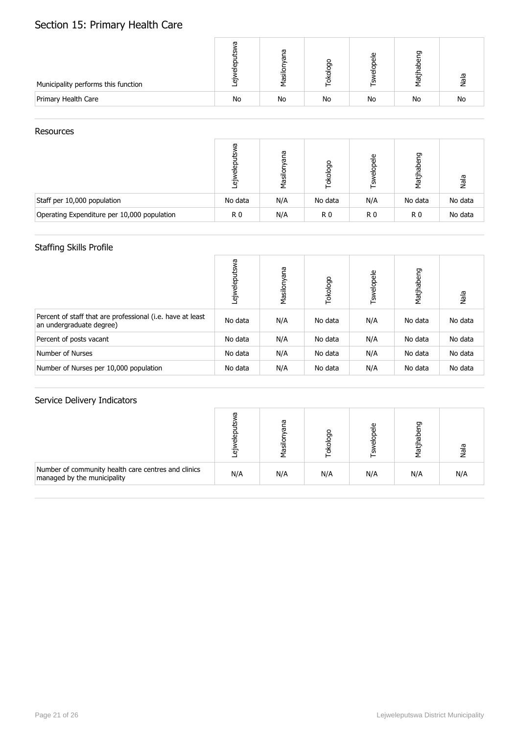# Section 15: Primary Health Care

| Municipality performs this function |    | ω<br>īg | o<br>Ō | ω<br>m | ᠳ<br>忘    | $\overline{\omega}$<br>᠊ᢛ |
|-------------------------------------|----|---------|--------|--------|-----------|---------------------------|
| Primary Health Care                 | No | No      | No     | No     | <b>No</b> | No                        |

#### Resources

|                                             | æ<br>Έō        | ā<br>Masil | okologo | elopele<br>'n  | labeng<br>Matj | Nala    |
|---------------------------------------------|----------------|------------|---------|----------------|----------------|---------|
| Staff per 10,000 population                 | No data        | N/A        | No data | N/A            | No data        | No data |
| Operating Expenditure per 10,000 population | R <sub>0</sub> | N/A        | R 0     | R <sub>0</sub> | R <sub>0</sub> | No data |

## Staffing Skills Profile

|                                                                                        | <b>EWS</b><br>ejwelepu | Masilonyana | Tokologo | Tswelopele | Matjhabeng | Nala    |
|----------------------------------------------------------------------------------------|------------------------|-------------|----------|------------|------------|---------|
| Percent of staff that are professional (i.e. have at least<br>an undergraduate degree) | No data                | N/A         | No data  | N/A        | No data    | No data |
| Percent of posts vacant                                                                | No data                | N/A         | No data  | N/A        | No data    | No data |
| Number of Nurses                                                                       | No data                | N/A         | No data  | N/A        | No data    | No data |
| Number of Nurses per 10,000 population                                                 | No data                | N/A         | No data  | N/A        | No data    | No data |

|                                                                                    | ு   | ω<br><u>iasi</u> |     | 음<br>m | ᡡ<br>1atj | ele |
|------------------------------------------------------------------------------------|-----|------------------|-----|--------|-----------|-----|
| Number of community health care centres and clinics<br>managed by the municipality | N/A | N/A              | N/A | N/A    | N/A       | N/A |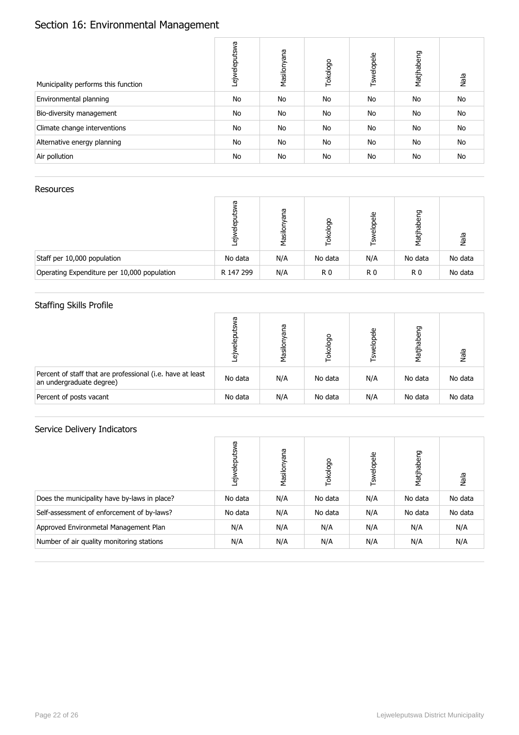# Section 16: Environmental Management

| Municipality performs this function | Lejweleputswa | Masilonyana | Tokologo | Tswelopele | Matjhabeng | Nala      |
|-------------------------------------|---------------|-------------|----------|------------|------------|-----------|
| Environmental planning              | <b>No</b>     | No          | No       | No         | No         | <b>No</b> |
| Bio-diversity management            | <b>No</b>     | No          | No       | No         | No         | No        |
| Climate change interventions        | <b>No</b>     | No          | No       | No         | No         | No        |
| Alternative energy planning         | <b>No</b>     | No          | No       | No         | No         | <b>No</b> |
| Air pollution                       | No            | No          | No       | No         | No         | No        |

#### Resources

|                                             | w<br>을<br>์ฮ | ā<br>능<br>Masil | okologo | ₾<br>읆<br>į.   | pabeng<br>Matj <sup>r</sup> | Nala    |
|---------------------------------------------|--------------|-----------------|---------|----------------|-----------------------------|---------|
| Staff per 10,000 population                 | No data      | N/A             | No data | N/A            | No data                     | No data |
| Operating Expenditure per 10,000 population | R 147 299    | N/A             | R0      | R <sub>0</sub> | R <sub>0</sub>              | No data |

## Staffing Skills Profile

|                                                                                        | ω<br>ele<br>Έō | ana<br>Masilor | Tokologo | elopele<br>Tsx | Matjhabeng | Nala    |
|----------------------------------------------------------------------------------------|----------------|----------------|----------|----------------|------------|---------|
| Percent of staff that are professional (i.e. have at least<br>an undergraduate degree) | No data        | N/A            | No data  | N/A            | No data    | No data |
| Percent of posts vacant                                                                | No data        | N/A            | No data  | N/A            | No data    | No data |

|                                              | δМ<br>elepu<br>ëŇ | Masilonyana | Tokologo | Tswelopele | Matjhabeng | Nala    |
|----------------------------------------------|-------------------|-------------|----------|------------|------------|---------|
| Does the municipality have by-laws in place? | No data           | N/A         | No data  | N/A        | No data    | No data |
| Self-assessment of enforcement of by-laws?   | No data           | N/A         | No data  | N/A        | No data    | No data |
| Approved Environmetal Management Plan        | N/A               | N/A         | N/A      | N/A        | N/A        | N/A     |
| Number of air quality monitoring stations    | N/A               | N/A         | N/A      | N/A        | N/A        | N/A     |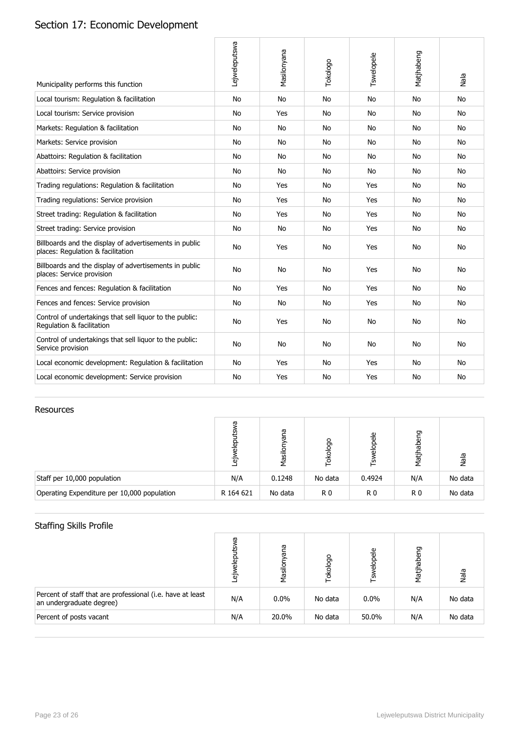# Section 17: Economic Development

| Municipality performs this function                                                         | Lejweleputswa | Masilonyana | Tokologo  | Tswelopele | Matjhabeng | Nala      |
|---------------------------------------------------------------------------------------------|---------------|-------------|-----------|------------|------------|-----------|
| Local tourism: Regulation & facilitation                                                    | <b>No</b>     | <b>No</b>   | <b>No</b> | <b>No</b>  | <b>No</b>  | <b>No</b> |
| Local tourism: Service provision                                                            | <b>No</b>     | Yes         | No        | <b>No</b>  | No         | <b>No</b> |
| Markets: Regulation & facilitation                                                          | <b>No</b>     | No          | No        | No.        | No.        | No        |
| Markets: Service provision                                                                  | No            | No          | No        | No         | No         | <b>No</b> |
| Abattoirs: Regulation & facilitation                                                        | <b>No</b>     | No          | <b>No</b> | <b>No</b>  | <b>No</b>  | <b>No</b> |
| Abattoirs: Service provision                                                                | <b>No</b>     | No          | <b>No</b> | <b>No</b>  | <b>No</b>  | <b>No</b> |
| Trading regulations: Regulation & facilitation                                              | No            | Yes         | No        | Yes        | No.        | <b>No</b> |
| Trading regulations: Service provision                                                      | <b>No</b>     | Yes         | <b>No</b> | Yes        | <b>No</b>  | <b>No</b> |
| Street trading: Regulation & facilitation                                                   | <b>No</b>     | Yes         | No        | Yes        | <b>No</b>  | <b>No</b> |
| Street trading: Service provision                                                           | No            | No          | No        | Yes        | No         | No.       |
| Billboards and the display of advertisements in public<br>places: Regulation & facilitation | No            | Yes         | No        | Yes        | No         | No.       |
| Billboards and the display of advertisements in public<br>places: Service provision         | No            | No          | No        | Yes        | <b>No</b>  | <b>No</b> |
| Fences and fences: Regulation & facilitation                                                | <b>No</b>     | Yes         | No        | Yes        | <b>No</b>  | <b>No</b> |
| Fences and fences: Service provision                                                        | <b>No</b>     | <b>No</b>   | No        | Yes        | No         | <b>No</b> |
| Control of undertakings that sell liquor to the public:<br>Regulation & facilitation        | No            | Yes         | No        | No         | <b>No</b>  | <b>No</b> |
| Control of undertakings that sell liquor to the public:<br>Service provision                | <b>No</b>     | <b>No</b>   | <b>No</b> | <b>No</b>  | <b>No</b>  | No.       |
| Local economic development: Regulation & facilitation                                       | <b>No</b>     | Yes         | <b>No</b> | Yes        | <b>No</b>  | <b>No</b> |
| Local economic development: Service provision                                               | No            | Yes         | No        | Yes        | <b>No</b>  | <b>No</b> |

#### Resources

|                                             | ᠬᠣ<br>$rac{1}{2}$<br>Έ | ā<br>ਨ<br>Masilor | Tokologo | elopele<br>Γšν | abeng<br>Matj <sup>1</sup> | Nala    |
|---------------------------------------------|------------------------|-------------------|----------|----------------|----------------------------|---------|
| Staff per 10,000 population                 | N/A                    | 0.1248            | No data  | 0.4924         | N/A                        | No data |
| Operating Expenditure per 10,000 population | R 164 621              | No data           | R0       | R <sub>0</sub> | R <sub>0</sub>             | No data |

## Staffing Skills Profile

|                                                                                        | σ<br>흚<br>Έσ | 29<br>ω<br>Masilor | okologo | elopele<br>⊫็ | Matjhabeng | Nala    |
|----------------------------------------------------------------------------------------|--------------|--------------------|---------|---------------|------------|---------|
| Percent of staff that are professional (i.e. have at least<br>an undergraduate degree) | N/A          | $0.0\%$            | No data | $0.0\%$       | N/A        | No data |
| Percent of posts vacant                                                                | N/A          | 20.0%              | No data | 50.0%         | N/A        | No data |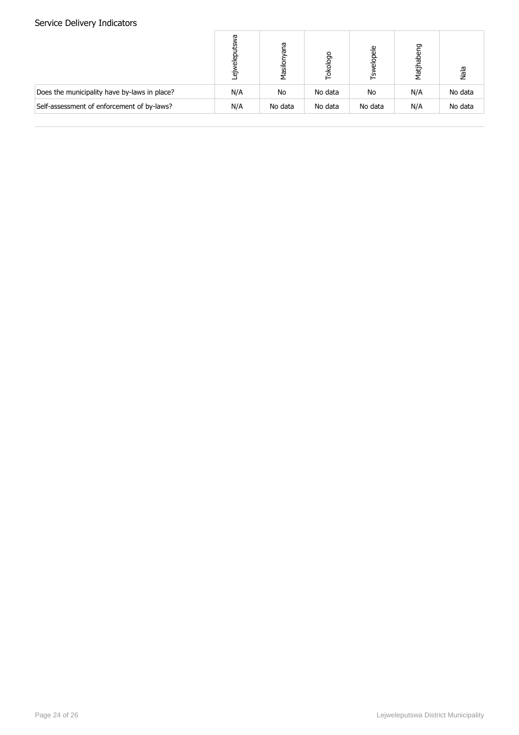|                                              | ᡴᠦ<br>이<br>이후<br>۵ | ၉၅<br>ᢛ<br>Masilor | Tokologo | elopele<br>٢š٧ | Matjhabeng | Nala    |
|----------------------------------------------|--------------------|--------------------|----------|----------------|------------|---------|
| Does the municipality have by-laws in place? | N/A                | No                 | No data  | No             | N/A        | No data |
| Self-assessment of enforcement of by-laws?   | N/A                | No data            | No data  | No data        | N/A        | No data |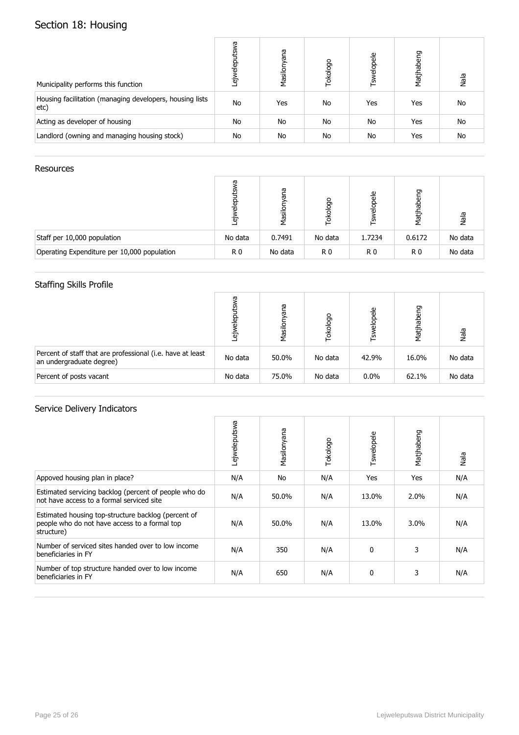# Section 18: Housing

| Municipality performs this function                              | δÑ<br>elepu<br>$\tilde{\vec{v}}$ | Masilonyana | Tokologo | Tswelopele | Matjhabeng | Nala      |
|------------------------------------------------------------------|----------------------------------|-------------|----------|------------|------------|-----------|
| Housing facilitation (managing developers, housing lists<br>etc) | <b>No</b>                        | Yes         | No       | Yes        | Yes        | <b>No</b> |
| Acting as developer of housing                                   | No                               | No          | No       | No         | Yes        | <b>No</b> |
| Landlord (owning and managing housing stock)                     | No                               | No          | No       | No         | Yes        | <b>No</b> |

#### **Resources**

|                                             | ω<br>읆<br><b>`</b> თ | ana<br>Masil | Tokologo | elopele<br>٣   | habeng<br>Matj | Nala    |
|---------------------------------------------|----------------------|--------------|----------|----------------|----------------|---------|
| Staff per 10,000 population                 | No data              | 0.7491       | No data  | 1.7234         | 0.6172         | No data |
| Operating Expenditure per 10,000 population | R0                   | No data      | R0       | R <sub>0</sub> | R <sub>0</sub> | No data |

## Staffing Skills Profile

|                                                                                        | ᡴᠦ<br>ه. | ma<br>ᢛ<br>Masilor | Tokologo | <b>Tswelopele</b> | Matjhabeng | Nala    |
|----------------------------------------------------------------------------------------|----------|--------------------|----------|-------------------|------------|---------|
| Percent of staff that are professional (i.e. have at least<br>an undergraduate degree) | No data  | 50.0%              | No data  | 42.9%             | 16.0%      | No data |
| Percent of posts vacant                                                                | No data  | 75.0%              | No data  | $0.0\%$           | 62.1%      | No data |

|                                                                                                                    | Lejweleputswa | Masilonyana | Tokologo | Tswelopele   | Matjhabeng | Nala |
|--------------------------------------------------------------------------------------------------------------------|---------------|-------------|----------|--------------|------------|------|
| Appoved housing plan in place?                                                                                     | N/A           | No          | N/A      | Yes          | Yes        | N/A  |
| Estimated servicing backlog (percent of people who do<br>not have access to a formal serviced site                 | N/A           | 50.0%       | N/A      | 13.0%        | 2.0%       | N/A  |
| Estimated housing top-structure backlog (percent of<br>people who do not have access to a formal top<br>structure) | N/A           | 50.0%       | N/A      | 13.0%        | $3.0\%$    | N/A  |
| Number of serviced sites handed over to low income<br>beneficiaries in FY                                          | N/A           | 350         | N/A      | $\mathbf{0}$ | 3          | N/A  |
| Number of top structure handed over to low income<br>beneficiaries in FY                                           | N/A           | 650         | N/A      | 0            | 3          | N/A  |